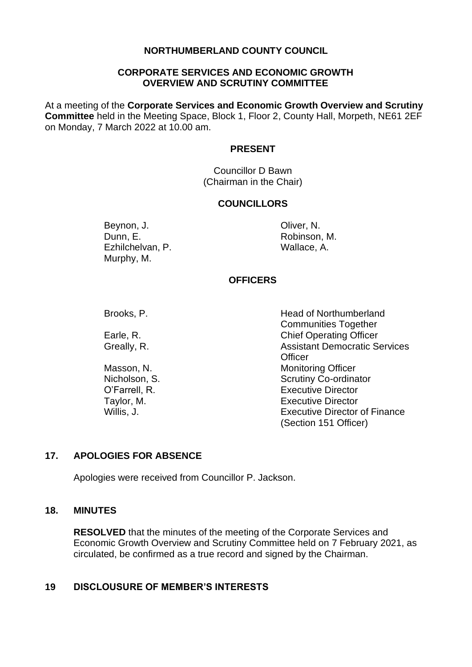### **NORTHUMBERLAND COUNTY COUNCIL**

### **CORPORATE SERVICES AND ECONOMIC GROWTH OVERVIEW AND SCRUTINY COMMITTEE**

At a meeting of the **Corporate Services and Economic Growth Overview and Scrutiny Committee** held in the Meeting Space, Block 1, Floor 2, County Hall, Morpeth, NE61 2EF on Monday, 7 March 2022 at 10.00 am.

#### **PRESENT**

Councillor D Bawn (Chairman in the Chair)

#### **COUNCILLORS**

Beynon, J. Dunn, E. Ezhilchelvan, P. Murphy, M.

Oliver, N. Robinson, M. Wallace, A.

### **OFFICERS**

Brooks, P.

Earle, R. Greally, R.

Masson, N. Nicholson, S. O'Farrell, R. Taylor, M. Willis, J.

Head of Northumberland Communities Together Chief Operating Officer Assistant Democratic Services **Officer** Monitoring Officer Scrutiny Co-ordinator Executive Director Executive Director Executive Director of Finance (Section 151 Officer)

## **17. APOLOGIES FOR ABSENCE**

Apologies were received from Councillor P. Jackson.

#### **18. MINUTES**

**RESOLVED** that the minutes of the meeting of the Corporate Services and Economic Growth Overview and Scrutiny Committee held on 7 February 2021, as circulated, be confirmed as a true record and signed by the Chairman.

### **19 DISCLOUSURE OF MEMBER'S INTERESTS**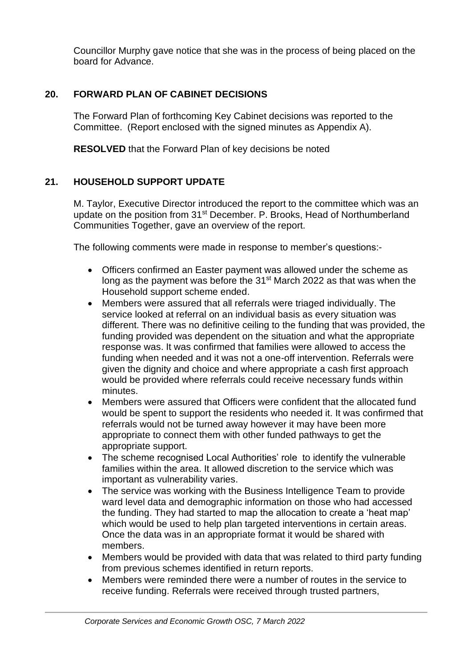Councillor Murphy gave notice that she was in the process of being placed on the board for Advance.

## **20. FORWARD PLAN OF CABINET DECISIONS**

The Forward Plan of forthcoming Key Cabinet decisions was reported to the Committee. (Report enclosed with the signed minutes as Appendix A).

**RESOLVED** that the Forward Plan of key decisions be noted

## **21. HOUSEHOLD SUPPORT UPDATE**

M. Taylor, Executive Director introduced the report to the committee which was an update on the position from 31<sup>st</sup> December. P. Brooks, Head of Northumberland Communities Together, gave an overview of the report.

The following comments were made in response to member's questions:-

- Officers confirmed an Easter payment was allowed under the scheme as long as the payment was before the 31<sup>st</sup> March 2022 as that was when the Household support scheme ended.
- Members were assured that all referrals were triaged individually. The service looked at referral on an individual basis as every situation was different. There was no definitive ceiling to the funding that was provided, the funding provided was dependent on the situation and what the appropriate response was. It was confirmed that families were allowed to access the funding when needed and it was not a one-off intervention. Referrals were given the dignity and choice and where appropriate a cash first approach would be provided where referrals could receive necessary funds within minutes.
- Members were assured that Officers were confident that the allocated fund would be spent to support the residents who needed it. It was confirmed that referrals would not be turned away however it may have been more appropriate to connect them with other funded pathways to get the appropriate support.
- The scheme recognised Local Authorities' role to identify the vulnerable families within the area. It allowed discretion to the service which was important as vulnerability varies.
- The service was working with the Business Intelligence Team to provide ward level data and demographic information on those who had accessed the funding. They had started to map the allocation to create a 'heat map' which would be used to help plan targeted interventions in certain areas. Once the data was in an appropriate format it would be shared with members.
- Members would be provided with data that was related to third party funding from previous schemes identified in return reports.
- Members were reminded there were a number of routes in the service to receive funding. Referrals were received through trusted partners,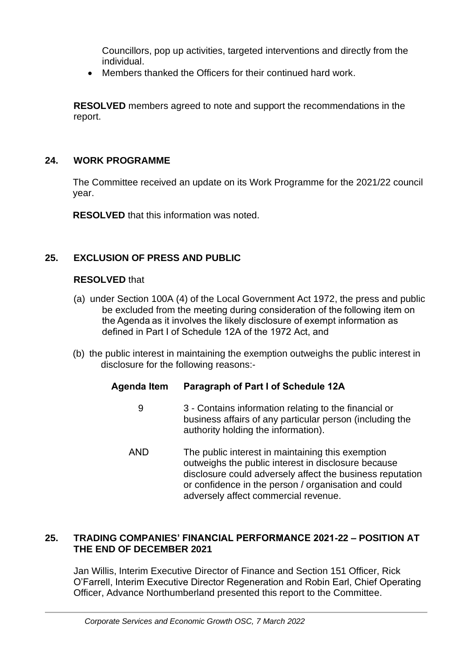Councillors, pop up activities, targeted interventions and directly from the individual.

• Members thanked the Officers for their continued hard work.

**RESOLVED** members agreed to note and support the recommendations in the report.

# **24. WORK PROGRAMME**

The Committee received an update on its Work Programme for the 2021/22 council year.

**RESOLVED** that this information was noted.

# **25. EXCLUSION OF PRESS AND PUBLIC**

## **RESOLVED** that

- (a) under Section 100A (4) of the Local Government Act 1972, the press and public be excluded from the meeting during consideration of the following item on the Agenda as it involves the likely disclosure of exempt information as defined in Part I of Schedule 12A of the 1972 Act, and
- (b) the public interest in maintaining the exemption outweighs the public interest in disclosure for the following reasons:-
	- **Agenda Item  Paragraph of Part I of Schedule 12A**
		- 9 3 Contains information relating to the financial or business affairs of any particular person (including the authority holding the information).
		- AND   The public interest in maintaining this exemption outweighs the public interest in disclosure because disclosure could adversely affect the business reputation or confidence in the person / organisation and could adversely affect commercial revenue.

## **25. TRADING COMPANIES' FINANCIAL PERFORMANCE 2021-22 – POSITION AT THE END OF DECEMBER 2021**

Jan Willis, Interim Executive Director of Finance and Section 151 Officer, Rick O'Farrell, Interim Executive Director Regeneration and Robin Earl, Chief Operating Officer, Advance Northumberland presented this report to the Committee.